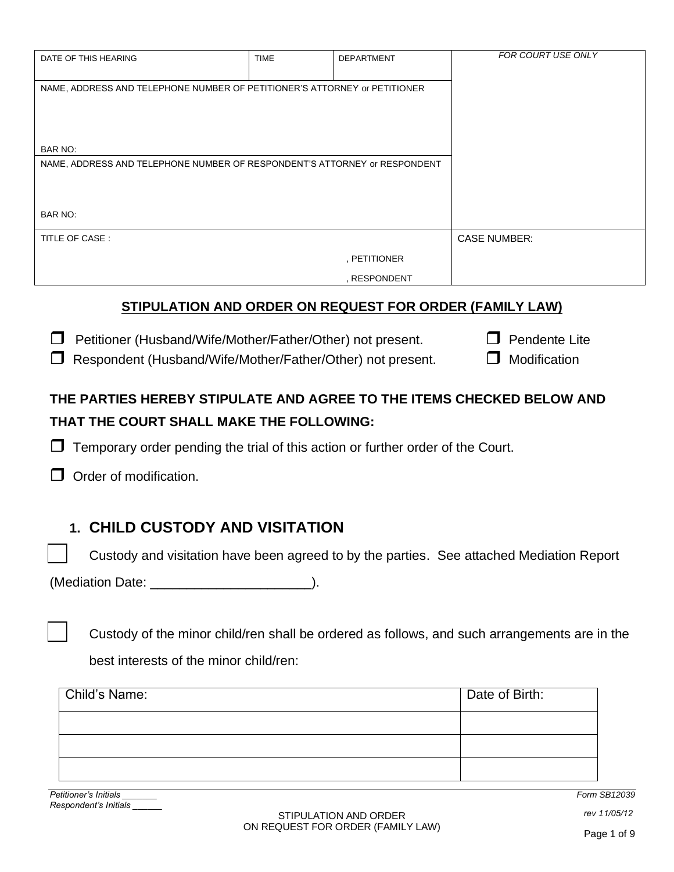| DATE OF THIS HEARING                                                      | <b>TIME</b> | <b>DEPARTMENT</b> | FOR COURT USE ONLY  |
|---------------------------------------------------------------------------|-------------|-------------------|---------------------|
| NAME, ADDRESS AND TELEPHONE NUMBER OF PETITIONER'S ATTORNEY or PETITIONER |             |                   |                     |
|                                                                           |             |                   |                     |
| BAR NO:                                                                   |             |                   |                     |
| NAME, ADDRESS AND TELEPHONE NUMBER OF RESPONDENT'S ATTORNEY or RESPONDENT |             |                   |                     |
|                                                                           |             |                   |                     |
| BAR NO:                                                                   |             |                   |                     |
| TITLE OF CASE:                                                            |             |                   | <b>CASE NUMBER:</b> |
|                                                                           |             | , PETITIONER      |                     |
|                                                                           |             | , RESPONDENT      |                     |
| ATINUL ATIAN AND ADDED AN DEAUFAT FAD ADDED (FAMILY LAM)                  |             |                   |                     |

### **STIPULATION AND ORDER ON REQUEST FOR ORDER (FAMILY LAW)**

 $\Box$  Petitioner (Husband/Wife/Mother/Father/Other) not present.  $\Box$  Pendente Lite

 $\Box$  Respondent (Husband/Wife/Mother/Father/Other) not present.  $\Box$  Modification

# **THE PARTIES HEREBY STIPULATE AND AGREE TO THE ITEMS CHECKED BELOW AND THAT THE COURT SHALL MAKE THE FOLLOWING:**

 $\Box$  Temporary order pending the trial of this action or further order of the Court.

Order of modification.

# **1. CHILD CUSTODY AND VISITATION**

Custody and visitation have been agreed to by the parties. See attached Mediation Report

(Mediation Date: \_\_\_\_\_\_\_\_\_\_\_\_\_\_\_\_\_\_\_\_\_\_).

 Custody of the minor child/ren shall be ordered as follows, and such arrangements are in the best interests of the minor child/ren:

| <b>Child's Name:</b> | Date of Birth: |
|----------------------|----------------|
|                      |                |
|                      |                |
|                      |                |

*Petitioner's Initials \_\_\_\_\_\_\_ Respondent's Initials \_\_\_\_\_\_* *Form SB12039*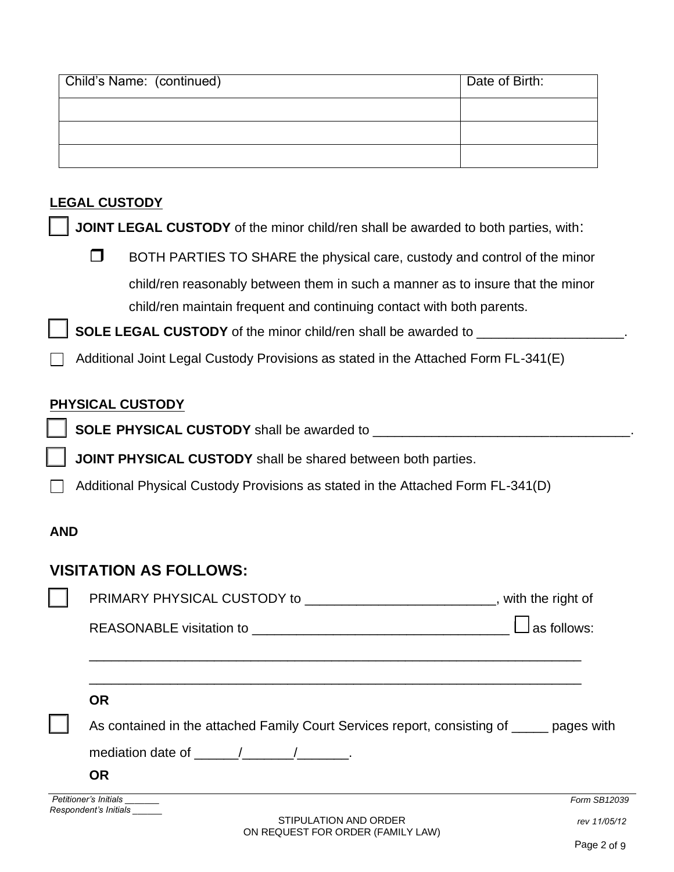| Child's Name: (continued) | Date of Birth: |
|---------------------------|----------------|
|                           |                |
|                           |                |
|                           |                |

## **LEGAL CUSTODY**

**JOINT LEGAL CUSTODY** of the minor child/ren shall be awarded to both parties, with:

 $\Box$  BOTH PARTIES TO SHARE the physical care, custody and control of the minor child/ren reasonably between them in such a manner as to insure that the minor child/ren maintain frequent and continuing contact with both parents.

**SOLE LEGAL CUSTODY** of the minor child/ren shall be awarded to \_\_\_\_\_\_\_\_\_\_\_\_\_\_\_\_\_\_\_\_\_\_

Additional Joint Legal Custody Provisions as stated in the Attached Form FL-341(E)

## **PHYSICAL CUSTODY**

**SOLE PHYSICAL CUSTODY** shall be awarded to \_\_\_\_\_\_\_\_\_\_\_\_\_\_\_\_\_\_\_\_\_\_\_\_\_\_\_\_\_\_\_\_\_\_\_.

**JOINT PHYSICAL CUSTODY** shall be shared between both parties.

Additional Physical Custody Provisions as stated in the Attached Form FL-341(D)

## **AND**

# **VISITATION AS FOLLOWS:**

| PRIMARY PHYSICAL CUSTODY to ________________________________, with the right of                                                                                                                                                |                             |
|--------------------------------------------------------------------------------------------------------------------------------------------------------------------------------------------------------------------------------|-----------------------------|
|                                                                                                                                                                                                                                | $^{\mathsf{!}}$ as follows: |
|                                                                                                                                                                                                                                |                             |
| <b>OR</b>                                                                                                                                                                                                                      |                             |
| As contained in the attached Family Court Services report, consisting of _____ pages with                                                                                                                                      |                             |
| mediation date of the state of the state of the state of the state of the state of the state of the state of the state of the state of the state of the state of the state of the state of the state of the state of the state |                             |
| <b>OR</b>                                                                                                                                                                                                                      |                             |
| Petitioner's Initials ________<br>Respondent's Initials                                                                                                                                                                        | Form SB12039                |
| STIPULATION AND ORDER                                                                                                                                                                                                          | rev 11/05/12                |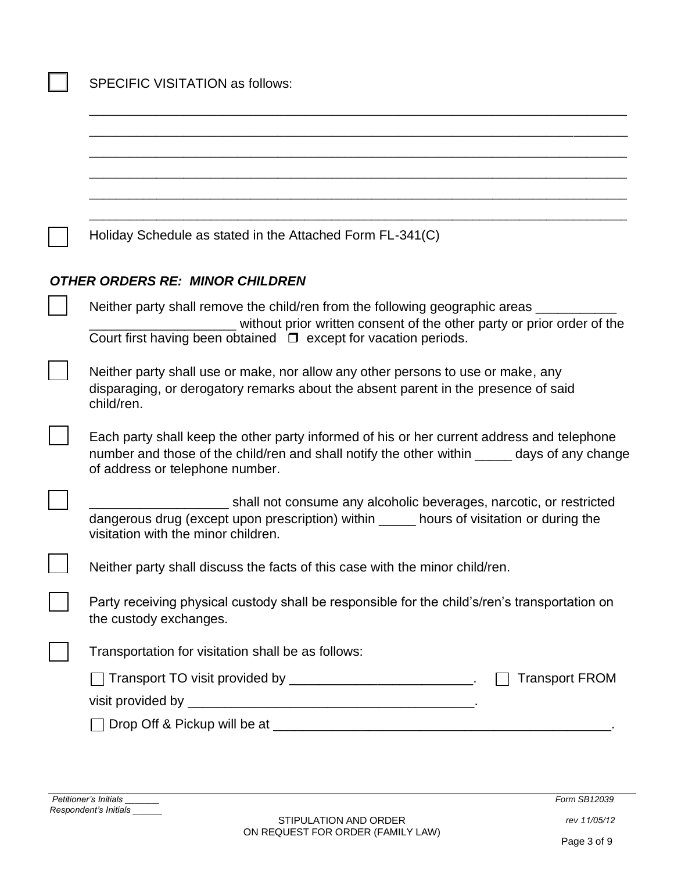| Holiday Schedule as stated in the Attached Form FL-341(C)                                                                                                                                                                     |  |  |  |
|-------------------------------------------------------------------------------------------------------------------------------------------------------------------------------------------------------------------------------|--|--|--|
| <b>OTHER ORDERS RE: MINOR CHILDREN</b>                                                                                                                                                                                        |  |  |  |
| Neither party shall remove the child/ren from the following geographic areas                                                                                                                                                  |  |  |  |
| without prior written consent of the other party or prior order of the<br>Court first having been obtained $\Box$ except for vacation periods.                                                                                |  |  |  |
| Neither party shall use or make, nor allow any other persons to use or make, any<br>disparaging, or derogatory remarks about the absent parent in the presence of said<br>child/ren.                                          |  |  |  |
| Each party shall keep the other party informed of his or her current address and telephone<br>number and those of the child/ren and shall notify the other within _____ days of any change<br>of address or telephone number. |  |  |  |
| shall not consume any alcoholic beverages, narcotic, or restricted                                                                                                                                                            |  |  |  |
| dangerous drug (except upon prescription) within _____ hours of visitation or during the<br>visitation with the minor children.                                                                                               |  |  |  |
| Neither party shall discuss the facts of this case with the minor child/ren.                                                                                                                                                  |  |  |  |
| Party receiving physical custody shall be responsible for the child's/ren's transportation on<br>the custody exchanges.                                                                                                       |  |  |  |
| Transportation for visitation shall be as follows:                                                                                                                                                                            |  |  |  |
| $\Box$ Transport TO visit provided by ______________________________.<br><b>Transport FROM</b>                                                                                                                                |  |  |  |
|                                                                                                                                                                                                                               |  |  |  |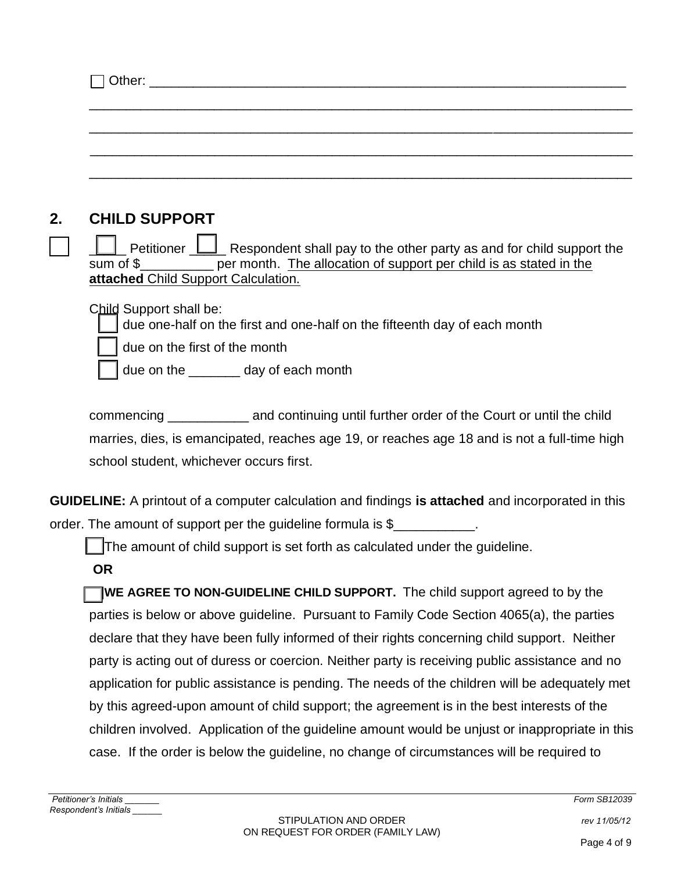| <b>CHILD SUPPORT</b>                                                                                                                                                                                                            |
|---------------------------------------------------------------------------------------------------------------------------------------------------------------------------------------------------------------------------------|
| $\Box$ Petitioner $\Box$ Respondent shall pay to the other party as and for child support the<br>sum of \$___________ per month. The allocation of support per child is as stated in the<br>attached Child Support Calculation. |
| Child Support shall be:<br>due one-half on the first and one-half on the fifteenth day of each month                                                                                                                            |
| due on the first of the month                                                                                                                                                                                                   |
| due on the _______ day of each month                                                                                                                                                                                            |

commencing \_\_\_\_\_\_\_\_\_\_\_ and continuing until further order of the Court or until the child marries, dies, is emancipated, reaches age 19, or reaches age 18 and is not a full-time high school student, whichever occurs first.

**GUIDELINE:** A printout of a computer calculation and findings **is attached** and incorporated in this order. The amount of support per the guideline formula is \$

The amount of child support is set forth as calculated under the guideline.

**OR**

**WE AGREE TO NON-GUIDELINE CHILD SUPPORT.** The child support agreed to by the parties is below or above guideline. Pursuant to Family Code Section 4065(a), the parties declare that they have been fully informed of their rights concerning child support. Neither party is acting out of duress or coercion. Neither party is receiving public assistance and no application for public assistance is pending. The needs of the children will be adequately met by this agreed-upon amount of child support; the agreement is in the best interests of the children involved. Application of the guideline amount would be unjust or inappropriate in this case. If the order is below the guideline, no change of circumstances will be required to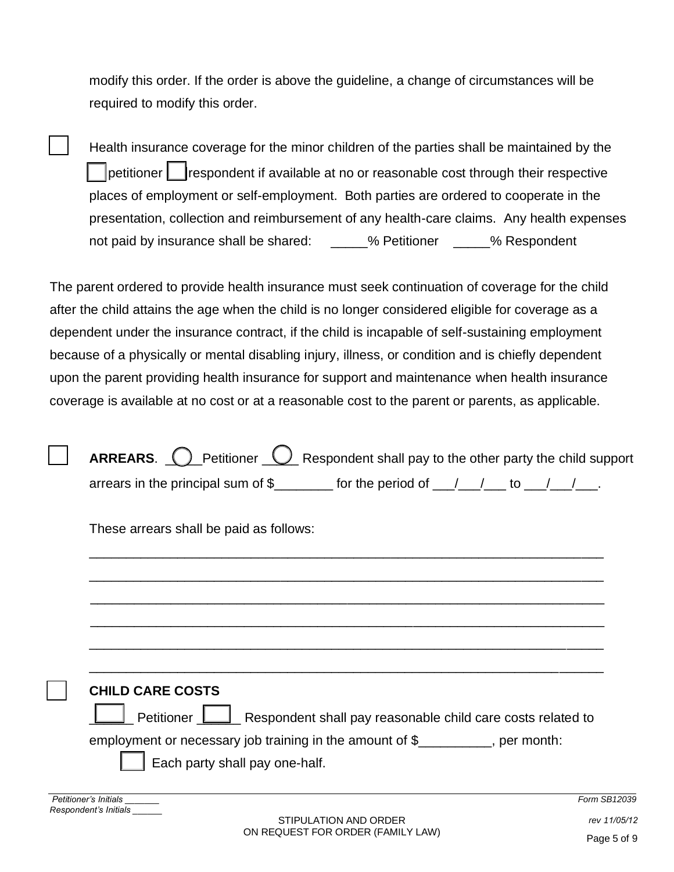modify this order. If the order is above the guideline, a change of circumstances will be required to modify this order.

 Health insurance coverage for the minor children of the parties shall be maintained by the petitioner  $\|\cdot\|$  respondent if available at no or reasonable cost through their respective places of employment or self-employment. Both parties are ordered to cooperate in the presentation, collection and reimbursement of any health-care claims. Any health expenses not paid by insurance shall be shared: \_\_\_\_\_% Petitioner \_\_\_\_\_% Respondent

The parent ordered to provide health insurance must seek continuation of coverage for the child after the child attains the age when the child is no longer considered eligible for coverage as a dependent under the insurance contract, if the child is incapable of self-sustaining employment because of a physically or mental disabling injury, illness, or condition and is chiefly dependent upon the parent providing health insurance for support and maintenance when health insurance coverage is available at no cost or at a reasonable cost to the parent or parents, as applicable.

| <b>ARREARS.</b> $\bigcirc$ Petitioner $\bigcirc$ Respondent shall pay to the other party the child support                                                                                                                                                                                                  |
|-------------------------------------------------------------------------------------------------------------------------------------------------------------------------------------------------------------------------------------------------------------------------------------------------------------|
| arrears in the principal sum of $\frac{2}{2}$ for the period of $\frac{1}{2}$ $\frac{1}{2}$ to $\frac{1}{2}$ .                                                                                                                                                                                              |
| These arrears shall be paid as follows:                                                                                                                                                                                                                                                                     |
|                                                                                                                                                                                                                                                                                                             |
|                                                                                                                                                                                                                                                                                                             |
|                                                                                                                                                                                                                                                                                                             |
| <b>CHILD CARE COSTS</b>                                                                                                                                                                                                                                                                                     |
| Respondent shall pay reasonable child care costs related to<br>Petitioner L                                                                                                                                                                                                                                 |
| employment or necessary job training in the amount of \$_________, per month:                                                                                                                                                                                                                               |
| Each party shall pay one-half.                                                                                                                                                                                                                                                                              |
| Petitioner's Initials<br>Form SB12039                                                                                                                                                                                                                                                                       |
| Respondent's Initials<br>$[0,1]$ $[0,1]$ $[0,1]$ $[0,1]$ $[0,1]$ $[0,1]$ $[0,1]$ $[0,1]$ $[0,1]$ $[0,1]$ $[0,1]$ $[0,1]$ $[0,1]$ $[0,1]$ $[0,1]$ $[0,1]$ $[0,1]$ $[0,1]$ $[0,1]$ $[0,1]$ $[0,1]$ $[0,1]$ $[0,1]$ $[0,1]$ $[0,1]$ $[0,1]$ $[0,1]$ $[0,1]$ $[0,1]$ $[0,1]$ $[0,1]$ $[0,$<br>$\overline{1100}$ |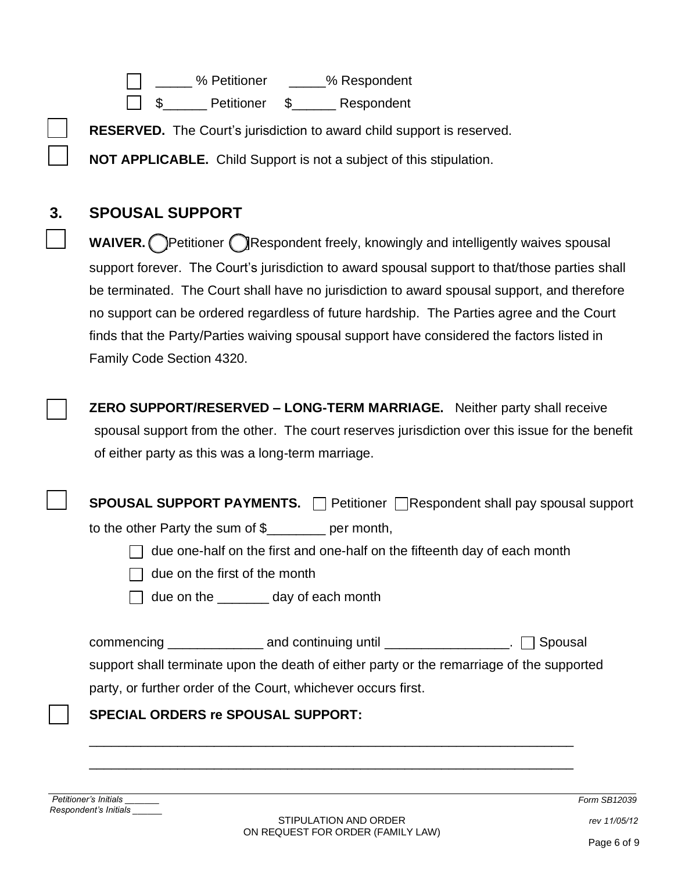| $\Box$ | % Petitioner | % Respondent |
|--------|--------------|--------------|
|--------|--------------|--------------|

\$\_\_\_\_\_\_ Petitioner \$\_\_\_\_\_\_ Respondent

**RESERVED.** The Court's jurisdiction to award child support is reserved.

**NOT APPLICABLE.** Child Support is not a subject of this stipulation.

# **3. SPOUSAL SUPPORT**

**WAIVER.** Petitioner Respondent freely, knowingly and intelligently waives spousal support forever. The Court's jurisdiction to award spousal support to that/those parties shall be terminated. The Court shall have no jurisdiction to award spousal support, and therefore no support can be ordered regardless of future hardship. The Parties agree and the Court finds that the Party/Parties waiving spousal support have considered the factors listed in Family Code Section 4320.

 **ZERO SUPPORT/RESERVED – LONG-TERM MARRIAGE.** Neither party shall receive spousal support from the other. The court reserves jurisdiction over this issue for the benefit of either party as this was a long-term marriage.

**SPOUSAL SUPPORT PAYMENTS. Petitioner Respondent shall pay spousal support** 

to the other Party the sum of \$\_\_\_\_\_\_\_\_ per month,

 $\Box$  due one-half on the first and one-half on the fifteenth day of each month

 $\Box$  due on the first of the month

 $\Box$  due on the \_\_\_\_\_\_\_ day of each month

 $\Box$  commencing  $\Box$  and continuing until  $\Box$   $\Box$  Spousal support shall terminate upon the death of either party or the remarriage of the supported

party, or further order of the Court, whichever occurs first.

## **SPECIAL ORDERS re SPOUSAL SUPPORT:**

*Petitioner's Initials \_\_\_\_\_\_\_ Form SB12039 Respondent's Initials \_\_\_\_\_\_*

\_\_\_\_\_\_\_\_\_\_\_\_\_\_\_\_\_\_\_\_\_\_\_\_\_\_\_\_\_\_\_\_\_\_\_\_\_\_\_\_\_\_\_\_\_\_\_\_\_\_\_\_\_\_\_\_\_\_\_\_\_\_\_\_\_\_

\_\_\_\_\_\_\_\_\_\_\_\_\_\_\_\_\_\_\_\_\_\_\_\_\_\_\_\_\_\_\_\_\_\_\_\_\_\_\_\_\_\_\_\_\_\_\_\_\_\_\_\_\_\_\_\_\_\_\_\_\_\_\_\_\_\_

*rev 11/05/12*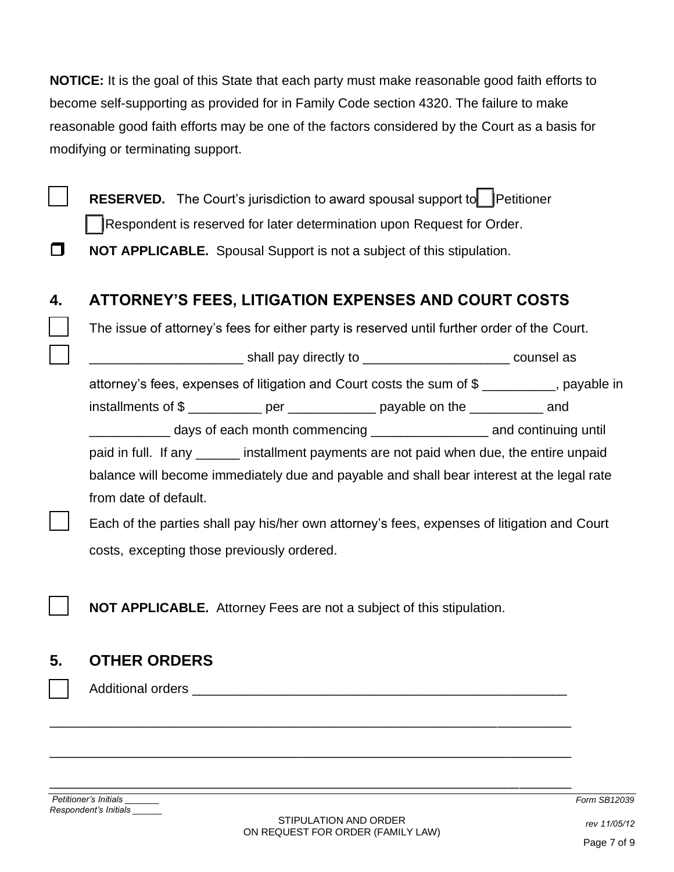**NOTICE:** It is the goal of this State that each party must make reasonable good faith efforts to become self-supporting as provided for in Family Code section 4320. The failure to make reasonable good faith efforts may be one of the factors considered by the Court as a basis for modifying or terminating support.

**RESERVED.** The Court's jurisdiction to award spousal support to **Petitioner** Respondent is reserved for later determination upon Request for Order.

**NOT APPLICABLE.** Spousal Support is not a subject of this stipulation.

# **4. ATTORNEY'S FEES, LITIGATION EXPENSES AND COURT COSTS**

The issue of attorney's fees for either party is reserved until further order of the Court.

and the shall pay directly to the state of the sounsel as counsel as  $\sim$ 

attorney's fees, expenses of litigation and Court costs the sum of \$ \_\_\_\_\_\_\_\_\_\_, payable in

installments of \$

\_\_\_\_\_\_\_\_\_\_\_ days of each month commencing \_\_\_\_\_\_\_\_\_\_\_\_\_\_\_\_ and continuing until

paid in full. If any \_\_\_\_\_\_ installment payments are not paid when due, the entire unpaid balance will become immediately due and payable and shall bear interest at the legal rate from date of default.

 Each of the parties shall pay his/her own attorney's fees, expenses of litigation and Court costs, excepting those previously ordered.

**NOT APPLICABLE.** Attorney Fees are not a subject of this stipulation.

\_\_\_\_\_\_\_\_\_\_\_\_\_\_\_\_\_\_\_\_\_\_\_\_\_\_\_\_\_\_\_\_\_\_\_\_\_\_\_\_\_\_\_\_\_\_\_\_\_\_\_\_\_\_\_\_\_\_\_\_\_\_\_\_\_\_\_\_\_\_\_

\_\_\_\_\_\_\_\_\_\_\_\_\_\_\_\_\_\_\_\_\_\_\_\_\_\_\_\_\_\_\_\_\_\_\_\_\_\_\_\_\_\_\_\_\_\_\_\_\_\_\_\_\_\_\_\_\_\_\_\_\_\_\_\_\_\_\_\_\_\_\_

\_\_\_\_\_\_\_\_\_\_\_\_\_\_\_\_\_\_\_\_\_\_\_\_\_\_\_\_\_\_\_\_\_\_\_\_\_\_\_\_\_\_\_\_\_\_\_\_\_\_\_\_\_\_\_\_\_\_\_\_\_\_\_\_\_\_\_\_\_\_\_

# **5. OTHER ORDERS**

Additional orders \_\_\_\_\_\_\_\_\_\_\_\_\_\_\_\_\_\_\_\_\_\_\_\_\_\_\_\_\_\_\_\_\_\_\_\_\_\_\_\_\_\_\_\_\_\_\_\_\_\_\_

*Petitioner's Initials \_\_\_\_\_\_\_ Form SB12039 Respondent's Initials \_\_\_\_\_\_*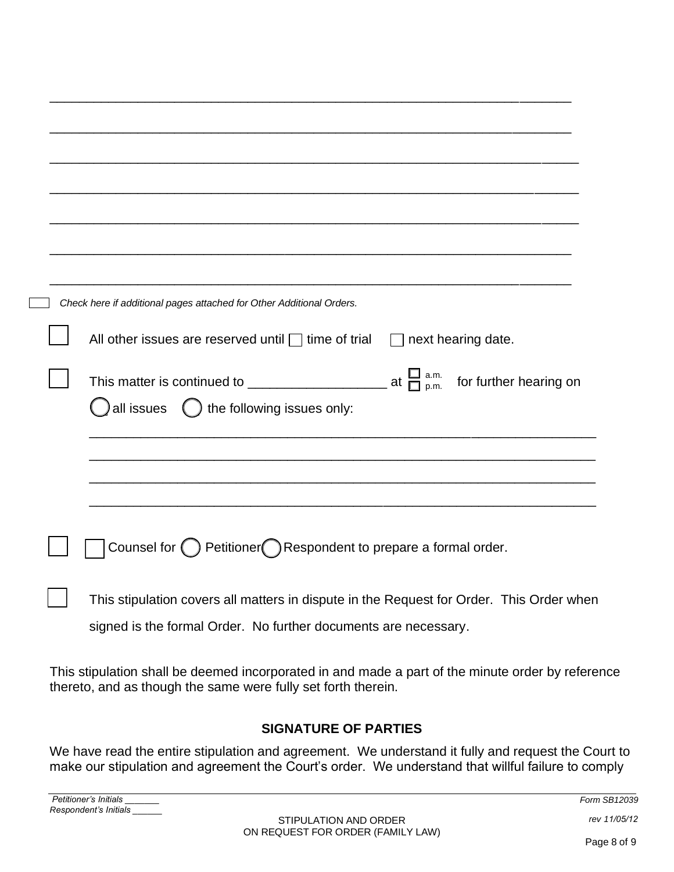| Check here if additional pages attached for Other Additional Orders.                     |
|------------------------------------------------------------------------------------------|
| All other issues are reserved until $\Box$ time of trial $\Box$ next hearing date.       |
|                                                                                          |
| all issues $\qquad$ the following issues only:                                           |
|                                                                                          |
|                                                                                          |
|                                                                                          |
|                                                                                          |
| Counsel for $\bigcirc$ Petitioner Respondent to prepare a formal order.                  |
| This stipulation covers all matters in dispute in the Request for Order. This Order when |
| signed is the formal Order. No further documents are necessary.                          |

This stipulation shall be deemed incorporated in and made a part of the minute order by reference thereto, and as though the same were fully set forth therein.

## **SIGNATURE OF PARTIES**

We have read the entire stipulation and agreement. We understand it fully and request the Court to make our stipulation and agreement the Court's order. We understand that willful failure to comply

| Petitione.<br>.<br>Initials |              |
|-----------------------------|--------------|
| Resp<br>Initials            | . . <i>.</i> |